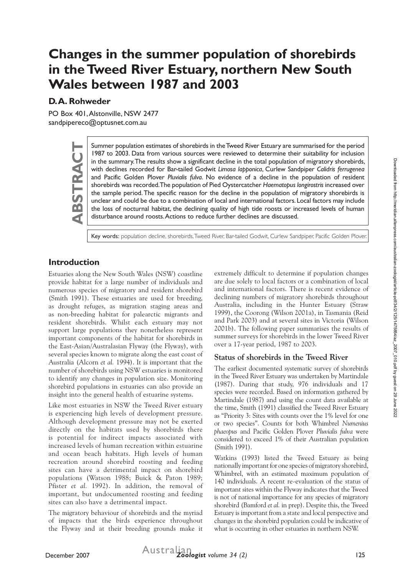# **Changes in the summer population of shorebirds in the Tweed River Estuary, northern New South Wales between 1987 and 2003**

# **D. A. Rohweder**

PO Box 401, Alstonville, NSW 2477 sandpipereco@optusnet.com.au

> Summer population estimates of shorebirds in the Tweed River Estuary are summarised for the period<br>
> 1987 to 2003. Data from various sources were reviewed to determine their suitability for inclusion<br>
> in the summary. The re 1987 to 2003. Data from various sources were reviewed to determine their suitability for inclusion in the summary. The results show a significant decline in the total population of migratory shorebirds, with declines recorded for Bar-tailed Godwit *Limosa lapponica*, Curlew Sandpiper *Calidris ferrugenea* and Pacific Golden Plover *Pluvialis fulva*. No evidence of a decline in the population of resident shorebirds was recorded. The population of Pied Oystercatcher *Haematopus longirostris* increased over the sample period. The specific reason for the decline in the population of migratory shorebirds is unclear and could be due to a combination of local and international factors. Local factors may include the loss of nocturnal habitat, the declining quality of high tide roosts or increased levels of human disturbance around roosts. Actions to reduce further declines are discussed.

Key words: population decline, shorebirds, Tweed River, Bar-tailed Godwit, Curlew Sandpiper, Pacific Golden Plover.

# **Introduction**

Estuaries along the New South Wales (NSW) coastline provide habitat for a large number of individuals and numerous species of migratory and resident shorebird (Smith 1991). These estuaries are used for breeding, as drought refuges, as migration staging areas and as non-breeding habitat for palearctic migrants and resident shorebirds. Whilst each estuary may not support large populations they nonetheless represent important components of the habitat for shorebirds in the East-Asian/Australasian Flyway (the Flyway), with several species known to migrate along the east coast of Australia (Alcorn *et al.* 1994). It is important that the number of shorebirds using NSW estuaries is monitored to identify any changes in population size. Monitoring shorebird populations in estuaries can also provide an insight into the general health of estuarine systems.

Like most estuaries in NSW the Tweed River estuary is experiencing high levels of development pressure. Although development pressure may not be exerted directly on the habitats used by shorebirds there is potential for indirect impacts associated with increased levels of human recreation within estuarine and ocean beach habitats. High levels of human recreation around shorebird roosting and feeding sites can have a detrimental impact on shorebird populations (Watson 1988; Buick & Paton 1989; Pfister *et al.* 1992). In addition, the removal of important, but undocumented roosting and feeding sites can also have a detrimental impact.

The migratory behaviour of shorebirds and the myriad of impacts that the birds experience throughout the Flyway and at their breeding grounds make it extremely difficult to determine if population changes are due solely to local factors or a combination of local and international factors. There is recent evidence of declining numbers of migratory shorebirds throughout Australia, including in the Hunter Estuary (Straw 1999), the Coorong (Wilson 2001a), in Tasmania (Reid and Park 2003) and at several sites in Victoria (Wilson 2001b). The following paper summarises the results of summer surveys for shorebirds in the lower Tweed River over a 17-year period, 1987 to 2003.

## **Status of shorebirds in the Tweed River**

The earliest documented systematic survey of shorebirds in the Tweed River Estuary was undertaken by Martindale (1987). During that study, 976 individuals and 17 species were recorded. Based on information gathered by Martindale (1987) and using the count data available at the time, Smith (1991) classified the Tweed River Estuary as "Priority 3: Sites with counts over the 1% level for one or two species". Counts for both Whimbrel *Numenius phaeopus* and Pacific Golden Plover *Pluvialis fulva* were considered to exceed 1% of their Australian population (Smith 1991).

Watkins (1993) listed the Tweed Estuary as being nationally important for one species of migratory shorebird, Whimbrel, with an estimated maximum population of 140 individuals. A recent re-evaluation of the status of important sites within the Flyway indicates that the Tweed is not of national importance for any species of migratory shorebird (Bamford *et al.* in prep). Despite this, the Tweed Estuary is important from a state and local perspective and changes in the shorebird population could be indicative of what is occurring in other estuaries in northern NSW.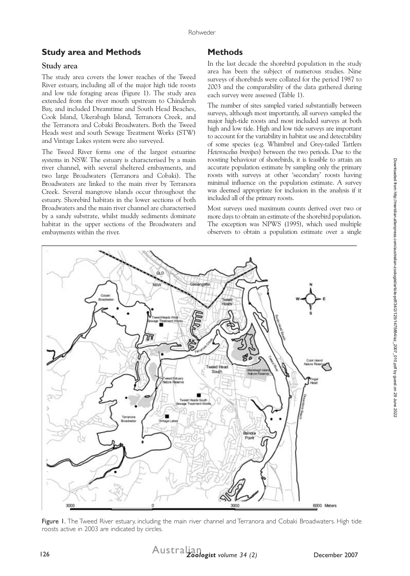## **Study area and Methods**

#### **Study area**

The study area covers the lower reaches of the Tweed River estuary, including all of the major high tide roosts and low tide foraging areas (Figure 1). The study area extended from the river mouth upstream to Chinderah Bay, and included Dreamtime and South Head Beaches, Cook Island, Ukerabagh Island, Terranora Creek, and the Terranora and Cobaki Broadwaters. Both the Tweed Heads west and south Sewage Treatment Works (STW) and Vintage Lakes system were also surveyed.

The Tweed River forms one of the largest estuarine systems in NSW. The estuary is characterised by a main river channel, with several sheltered embayments, and two large Broadwaters (Terranora and Cobaki). The Broadwaters are linked to the main river by Terranora Creek. Several mangrove islands occur throughout the estuary. Shorebird habitats in the lower sections of both Broadwaters and the main river channel are characterised by a sandy substrate, whilst muddy sediments dominate habitat in the upper sections of the Broadwaters and embayments within the river.

# **Methods**

In the last decade the shorebird population in the study area has been the subject of numerous studies. Nine surveys of shorebirds were collated for the period 1987 to 2003 and the comparability of the data gathered during each survey were assessed (Table 1).

The number of sites sampled varied substantially between surveys, although most importantly, all surveys sampled the major high-tide roosts and most included surveys at both high and low tide. High and low tide surveys are important to account for the variability in habitat use and detectability of some species (e.g. Whimbrel and Grey-tailed Tattlers *Heteroscelus brevipes*) between the two periods. Due to the roosting behaviour of shorebirds, it is feasible to attain an accurate population estimate by sampling only the primary roosts with surveys at other 'secondary' roosts having minimal influence on the population estimate. A survey was deemed appropriate for inclusion in the analysis if it included all of the primary roosts.

Most surveys used maximum counts derived over two or more days to obtain an estimate of the shorebird population. The exception was NPWS (1995), which used multiple observers to obtain a population estimate over a single



Figure 1. The Tweed River estuary, including the main river channel and Terranora and Cobaki Broadwaters. High tide roosts active in 2003 are indicated by circles.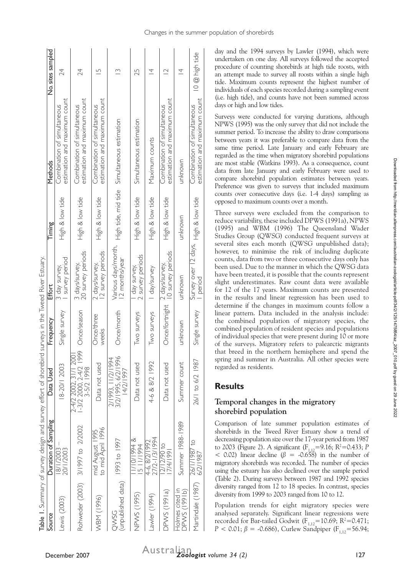| 3 day survey,<br>Effort<br>Single survey<br>Frequency<br>18-20/1 2003<br>Data Used<br>Duration of Sampling         |
|--------------------------------------------------------------------------------------------------------------------|
| survey period<br>3 days/survey,<br>2-4/2 2002, 31/1 2001<br>1-3/2 2000, 2-4/2 1999                                 |
| 20 survey periods<br>Once/season<br>3-5/2 1998<br>3/1997 to 2/2002                                                 |
| 2 survey periods<br>2 days/survey,<br>Once/three<br>weeks<br>Data not used<br>to mid April 1996<br>mid August 1995 |
| Various days/month,<br>12 months/year<br>Once/month<br>3/2/1995, 6/2/1996<br>2/1993, 11/2/1994<br>14/2/1997        |
| 2 survey periods<br>day survey,<br>Iwo surveys<br>Data not used                                                    |
| I day/survey<br>Two surveys<br>4-6 & 8/2 1992                                                                      |
| 10 survey periods<br>2 days/survey,<br>Once/fortnight<br>Data not used                                             |
| unknown<br>unknown<br>Summer count<br>Summer 1988-1989                                                             |
| Survey over 12 days, High & low tide<br><b>period</b><br>Single survey<br>26/1 to 6/2 1987                         |

day and the 1994 surveys by Lawler (1994), which were undertaken on one day. All surveys followed the accepted procedure of counting shorebirds at high tide roosts, with an attempt made to survey all roosts within a single high tide. Maximum counts represent the highest number of individuals of each species recorded during a sampling event (i.e. high tide), and counts have not been summed across days or high and low tides.

Surveys were conducted for varying durations, although NPWS (1995) was the only survey that did not include the summer period. To increase the ability to draw comparisons between years it was preferable to compare data from the same time period. Late January and early February are regarded as the time when migratory shorebird populations are most stable (Watkins 1993). As a consequence, count data from late January and early February were used to compare shorebird population estimates between years. Preference was given to surveys that included maximum counts over consecutive days (i.e. 1-4 days) sampling as opposed to maximum counts over a month.

Three surveys were excluded from the comparison to reduce variability, these included DPWS (1991a), NPWS (1995) and WBM (1996) The Queensland Wader Studies Group (QWSG) conducted frequent surveys at several sites each month (QWSG unpublished data); however, to minimise the risk of including duplicate counts, data from two or three consecutive days only has been used. Due to the manner in which the QWSG data have been treated, it is possible that the counts represent slight underestimates. Raw count data were available for 12 of the 17 years. Maximum counts are presented in the results and linear regression has been used to determine if the changes in maximum counts follow a linear pattern. Data included in the analysis include: the combined population of migratory species, the combined population of resident species and populations of individual species that were present during 10 or more of the surveys. Migratory refers to palearctic migrants that breed in the northern hemisphere and spend the spring and summer in Australia. All other species were regarded as residents.

### **Results**

#### **Temporal changes in the migratory shorebird population**

Comparison of late summer population estimates of shorebirds in the Tweed River Estuary show a trend of decreasing population size over the 17-year period from 1987 to 2003 (Figure 2). A significant  $(F_{1,12} = 9.16; R^2 = 0.433; P$  $<$  0.02) linear decline ( $\beta$  = -0.658) in the number of migratory shorebirds was recorded. The number of species using the estuary has also declined over the sample period (Table 2). During surveys between 1987 and 1992 species diversity ranged from 12 to 18 species. In contrast, species diversity from 1999 to 2003 ranged from 10 to 12.

Population trends for eight migratory species were analysed separately. Significant linear regressions were recorded for Bar-tailed Godwit ( $F_{1,12}$ =10.69; R<sup>2</sup>=0.471; *P* < 0.01;  $\beta$  = -0.686), Curlew Sandpiper (F<sub>1,12</sub>=56.94;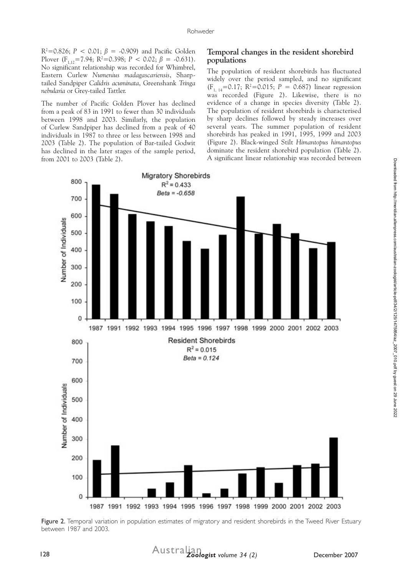$R^2 = 0.826$ ;  $P < 0.01$ ;  $\beta = 0.909$ ) and Pacific Golden Plover  $(F_{1,12} = 7.94; R^2 = 0.398; P < 0.02; \beta = -0.631)$ . No significant relationship was recorded for Whimbrel, Eastern Curlew *Numenius madagascariensis*, Sharptailed Sandpiper *Calidris acuminata*, Greenshank *Tringa nebularia* or Grey-tailed Tattler.

The number of Pacific Golden Plover has declined from a peak of 83 in 1991 to fewer than 30 individuals between 1998 and 2003. Similarly, the population of Curlew Sandpiper has declined from a peak of 40 individuals in 1987 to three or less between 1998 and 2003 (Table 2). The population of Bar-tailed Godwit has declined in the later stages of the sample period, from 2001 to 2003 (Table 2).

#### **Temporal changes in the resident shorebird populations**

The population of resident shorebirds has fluctuated widely over the period sampled, and no significant  $(F_{1, 14} = 0.17; R^2 = 0.015; P = 0.687)$  linear regression was recorded (Figure 2). Likewise, there is no evidence of a change in species diversity (Table 2). The population of resident shorebirds is characterised by sharp declines followed by steady increases over several years. The summer population of resident shorebirds has peaked in 1991, 1995, 1999 and 2003 (Figure 2). Black-winged Stilt *Himantopus himantopus* dominate the resident shorebird population (Table 2). A significant linear relationship was recorded between



Figure 2. Temporal variation in population estimates of migratory and resident shorebirds in the Tweed River Estuary between 1987 and 2003.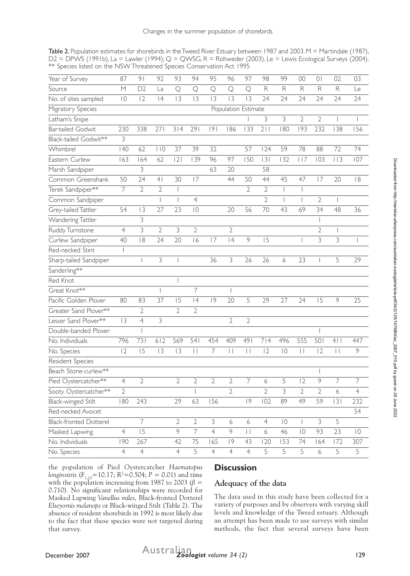Table 2. Population estimates for shorebirds in the Tweed River Estuary between 1987 and 2003. M = Martindale (1987),  $D2 = DPVVS$  (1991b), La = Lawler (1994); Q = QWSG, R = Rohweder (2003), Le = Lewis Ecological Surveys (2004). \*\* Species listed on the NSW Threatened Species Conservation Act 1995

| Year of Survey                | 87                  | 9 <sub>1</sub>           | 92             | 93                       | 94              | 95             | 96             | 97             | 98             | 99                       | 00                       | 0              | 02            | 03             |
|-------------------------------|---------------------|--------------------------|----------------|--------------------------|-----------------|----------------|----------------|----------------|----------------|--------------------------|--------------------------|----------------|---------------|----------------|
| Source                        | M                   | D2                       | La             | $\mathsf{Q}$             | Q               | Q              | Q              | Q              | $\mathsf{R}$   | ${\sf R}$                | $\mathsf R$              | $\mathsf{R}$   | $\mathsf{R}$  | Le             |
| No. of sites sampled          | $\overline{0}$      | 2                        | 4              | 3                        | 3               | 3              | 3              | 3              | 24             | 24                       | 24                       | 24             | 24            | 24             |
| Migratory Species             | Population Estimate |                          |                |                          |                 |                |                |                |                |                          |                          |                |               |                |
| Latham's Snipe                |                     |                          |                |                          |                 |                |                |                | 3              | 3                        | $\overline{2}$           | $\overline{2}$ |               |                |
| <b>Bar-tailed Godwit</b>      | 230                 | 338                      | 271            | 314                      | 291             | 9              | 186            | 133            | 211            | 180                      | 193                      | 232            | 138           | 156            |
| Black-tailed Godwit**         | 3                   |                          |                |                          |                 |                |                |                |                |                          |                          |                |               |                |
| Whimbrel                      | 40                  | 62                       | 110            | 37                       | 39              | 32             |                | 57             | 124            | 59                       | 78                       | 88             | 72            | 74             |
| Eastern Curlew                | 163                 | 164                      | 62             | 2                        | 139             | 96             | 97             | 150            | 3              | 132                      | 117                      | 103            | 113           | 107            |
| Marsh Sandpiper               |                     | 3                        |                |                          |                 | 63             | 20             |                | 58             |                          |                          |                |               |                |
| Common Greenshank             | 50                  | 24                       | 4 <sub>1</sub> | 30                       | 17              |                | 44             | 50             | 44             | 45                       | 47                       | 7              | 20            | 8              |
| Terek Sandpiper**             | $\overline{7}$      | $\overline{2}$           | $\overline{2}$ | $\overline{\phantom{a}}$ |                 |                |                | $\overline{2}$ | $\overline{2}$ | $\overline{\phantom{a}}$ | $\overline{\phantom{a}}$ |                |               |                |
| Common Sandpiper              |                     |                          |                | $\overline{\phantom{a}}$ | $\overline{4}$  |                |                |                | $\overline{2}$ |                          |                          | $\overline{2}$ |               |                |
| Grey-tailed Tattler           | 54                  | 3                        | 27             | 23                       | $\overline{0}$  |                | 20             | 56             | 70             | 43                       | 69                       | 34             | 48            | 36             |
| Wandering Tattler             |                     | 3                        |                |                          |                 |                |                |                |                |                          |                          |                |               |                |
| Ruddy Turnstone               | $\overline{4}$      | 3                        | $\overline{2}$ | 3                        | $\overline{2}$  |                | $\sqrt{2}$     |                |                |                          |                          | $\overline{2}$ |               |                |
| Curlew Sandpiper              | 40                  | 18                       | 24             | 20                       | 16              | 7              | 4              | 9              | 15             |                          |                          | 3              | 3             |                |
| Red-necked Stint              |                     |                          |                |                          |                 |                |                |                |                |                          |                          |                |               |                |
| Sharp-tailed Sandpiper        |                     | $\overline{\phantom{a}}$ | 3              |                          |                 | 36             | 3              | 26             | 26             | 6                        | 23                       | I              | 5             | 29             |
| Sanderling**                  |                     |                          |                |                          |                 |                |                |                |                |                          |                          |                |               |                |
| Red Knot                      |                     |                          |                |                          |                 |                |                |                |                |                          |                          |                |               |                |
| Great Knot**                  |                     |                          |                |                          | $\overline{7}$  |                |                |                |                |                          |                          |                |               |                |
| Pacific Golden Plover         | 80                  | 83                       | 37             | 15                       | 4               | 9              | 20             | 5              | 29             | 27                       | 24                       | 15             | 9             | 25             |
| Greater Sand Plover**         |                     | $\overline{2}$           |                | $\overline{2}$           | $\overline{2}$  |                |                |                |                |                          |                          |                |               |                |
| Lesser Sand Plover**          | 3                   | $\overline{4}$           | 3              |                          |                 |                | $\overline{2}$ | $\overline{2}$ |                |                          |                          |                |               |                |
| Double-banded Plover          |                     |                          |                |                          |                 |                |                |                |                |                          |                          |                |               |                |
| No. Individuals               | 796                 | 731                      | 612            | 569                      | 541             | 454            | 409            | 491            | 714            | 496                      | 555                      | 501            | 4             | 447            |
| No. Species                   | 12                  | 15                       | 3              | 3                        | $\vert \ \vert$ | $\overline{7}$ | $\vert \vert$  | $\vert \vert$  | 12             | $\overline{0}$           | $\vert \vert$            | 12             | $\vert \vert$ | 9              |
| Resident Species              |                     |                          |                |                          |                 |                |                |                |                |                          |                          |                |               |                |
| Beach Stone-curlew**          |                     |                          |                |                          |                 |                |                |                |                |                          |                          |                |               |                |
| Pied Oystercatcher**          | $\overline{4}$      | 2                        |                | $\overline{2}$           | 2               | $\overline{2}$ | 2              | 7              | 6              | 5                        | 12                       | 9              | 7             | 7              |
| Sooty Oystercatcher**         | $\overline{2}$      |                          |                |                          |                 |                | $\overline{2}$ |                | $\overline{2}$ | $\overline{\mathbf{3}}$  | $\overline{2}$           | $\overline{2}$ | 6             | $\overline{4}$ |
| Black-winged Stilt            | 180                 | 243                      |                | 29                       | 63              | 156            |                | 9              | 102            | 89                       | 49                       | 59             | 3             | 232            |
| Red-necked Avocet             |                     |                          |                |                          |                 |                |                |                |                |                          |                          |                |               | 54             |
| <b>Black-fronted Dotterel</b> |                     | $\overline{7}$           |                | $\overline{2}$           | $\overline{2}$  | 3              | 6              | 6              | $\overline{4}$ | $\overline{0}$           |                          | 3              | 5             |                |
| Masked Lapwing                | $\overline{4}$      | $\overline{15}$          |                | 9                        | $\overline{7}$  | $\overline{4}$ | $\overline{9}$ | $\Box$         | 6              | 46                       | $\overline{0}$           | 93             | 23            | $\overline{0}$ |
| No. Individuals               | 190                 | 267                      |                | 42                       | 75              | 165            | 9              | 43             | 120            | 153                      | 74                       | 164            | 172           | 307            |
| No. Species                   | $\overline{4}$      | $\overline{4}$           |                | $\overline{4}$           | 5               | $\overline{4}$ | $\overline{4}$ | $\overline{4}$ | 5              | 5                        | 5                        | 6              | 5             | 5              |

the population of Pied Oystercatcher *Haematopus longirostris* ( $F_{1,10}$  = 10.17;  $R^2$  = 0.504;  $P = 0.01$ ) and time with the population increasing from 1987 to 2003 ( $\beta$  = 0.710). No significant relationships were recorded for Masked Lapwing *Vanellus miles,* Black-fronted Dotterel *Elseyornis melanops* or Black-winged Stilt (Table 2). The absence of resident shorebirds in 1992 is most likely due to the fact that these species were not targeted during that survey.

# **Discussion**

## **Adequacy of the data**

The data used in this study have been collected for a variety of purposes and by observers with varying skill levels and knowledge of the Tweed estuary. Although an attempt has been made to use surveys with similar methods, the fact that several surveys have been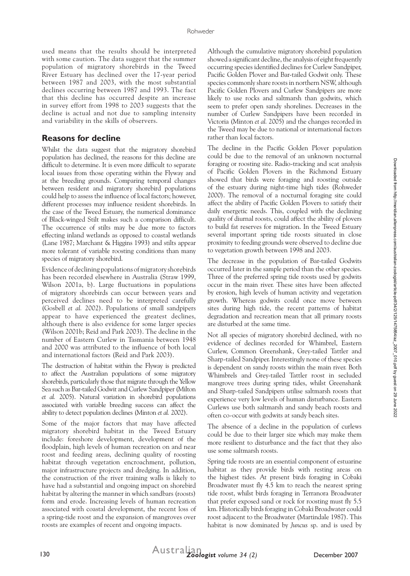used means that the results should be interpreted with some caution. The data suggest that the summer population of migratory shorebirds in the Tweed River Estuary has declined over the 17-year period between 1987 and 2003, with the most substantial declines occurring between 1987 and 1993. The fact that this decline has occurred despite an increase in survey effort from 1998 to 2003 suggests that the decline is actual and not due to sampling intensity and variability in the skills of observers.

## **Reasons for decline**

Whilst the data suggest that the migratory shorebird population has declined, the reasons for this decline are difficult to determine. It is even more difficult to separate local issues from those operating within the Flyway and at the breeding grounds. Comparing temporal changes between resident and migratory shorebird populations could help to assess the influence of local factors; however, different processes may influence resident shorebirds. In the case of the Tweed Estuary, the numerical dominance of Black-winged Stilt makes such a comparison difficult. The occurrence of stilts may be due more to factors effecting inland wetlands as opposed to coastal wetlands (Lane 1987; Marchant & Higgins 1993) and stilts appear more tolerant of variable roosting conditions than many species of migratory shorebird.

Evidence of declining populations of migratory shorebirds has been recorded elsewhere in Australia (Straw 1999, Wilson 2001a, b). Large fluctuations in populations of migratory shorebirds can occur between years and perceived declines need to be interpreted carefully (Gosbell *et al.* 2002). Populations of small sandpipers appear to have experienced the greatest declines, although there is also evidence for some larger species (Wilson 2001b; Reid and Park 2003). The decline in the number of Eastern Curlew in Tasmania between 1948 and 2000 was attributed to the influence of both local and international factors (Reid and Park 2003).

The destruction of habitat within the Flyway is predicted to affect the Australian populations of some migratory shorebirds, particularly those that migrate through the Yellow Sea such as Bar-tailed Godwit and Curlew Sandpiper (Milton *et al.* 2005). Natural variation in shorebird populations associated with variable breeding success can affect the ability to detect population declines (Minton *et al.* 2002).

Some of the major factors that may have affected migratory shorebird habitat in the Tweed Estuary include: foreshore development, development of the floodplain, high levels of human recreation on and near roost and feeding areas, declining quality of roosting habitat through vegetation encroachment, pollution, major infrastructure projects and dredging. In addition, the construction of the river training walls is likely to have had a substantial and ongoing impact on shorebird habitat by altering the manner in which sandbars (roosts) form and erode. Increasing levels of human recreation associated with coastal development, the recent loss of a spring-tide roost and the expansion of mangroves over roosts are examples of recent and ongoing impacts.

Although the cumulative migratory shorebird population showed a significant decline, the analysis of eight frequently occurring species identified declines for Curlew Sandpiper, Pacific Golden Plover and Bar-tailed Godwit only. These species commonly share roosts in northern NSW, although Pacific Golden Plovers and Curlew Sandpipers are more likely to use rocks and saltmarsh than godwits, which seem to prefer open sandy shorelines. Decreases in the number of Curlew Sandpipers have been recorded in Victoria (Minton *et al.* 2005) and the changes recorded in the Tweed may be due to national or international factors rather than local factors.

The decline in the Pacific Golden Plover population could be due to the removal of an unknown nocturnal foraging or roosting site. Radio-tracking and scat analysis of Pacific Golden Plovers in the Richmond Estuary showed that birds were foraging and roosting outside of the estuary during night-time high tides (Rohweder 2000). The removal of a nocturnal foraging site could affect the ability of Pacific Golden Plovers to satisfy their daily energetic needs. This, coupled with the declining quality of diurnal roosts, could affect the ability of plovers to build fat reserves for migration. In the Tweed Estuary several important spring tide roosts situated in close proximity to feeding grounds were observed to decline due to vegetation growth between 1998 and 2003.

The decrease in the population of Bar-tailed Godwits occurred later in the sample period than the other species. Three of the preferred spring tide roosts used by godwits occur in the main river. These sites have been affected by erosion, high levels of human activity and vegetation growth. Whereas godwits could once move between sites during high tide, the recent patterns of habitat degradation and recreation mean that all primary roosts are disturbed at the same time.

Not all species of migratory shorebird declined, with no evidence of declines recorded for Whimbrel, Eastern Curlew, Common Greenshank, Grey-tailed Tattler and Sharp-tailed Sandpiper. Interestingly none of these species is dependent on sandy roosts within the main river. Both Whimbrels and Grey-tailed Tattler roost in secluded mangrove trees during spring tides, whilst Greenshank and Sharp-tailed Sandpipers utilise saltmarsh roosts that experience very low levels of human disturbance. Eastern Curlews use both saltmarsh and sandy beach roosts and often co-occur with godwits at sandy beach sites.

The absence of a decline in the population of curlews could be due to their larger size which may make them more resilient to disturbance and the fact that they also use some saltmarsh roosts.

Spring tide roosts are an essential component of estuarine habitat as they provide birds with resting areas on the highest tides. At present birds foraging in Cobaki Broadwater must fly 4.5 km to reach the nearest spring tide roost, whilst birds foraging in Terranora Broadwater that prefer exposed sand or rock for roosting must fly 5.5 km. Historically birds foraging in Cobaki Broadwater could roost adjacent to the Broadwater (Martindale 1987). This habitat is now dominated by *Juncus* sp. and is used by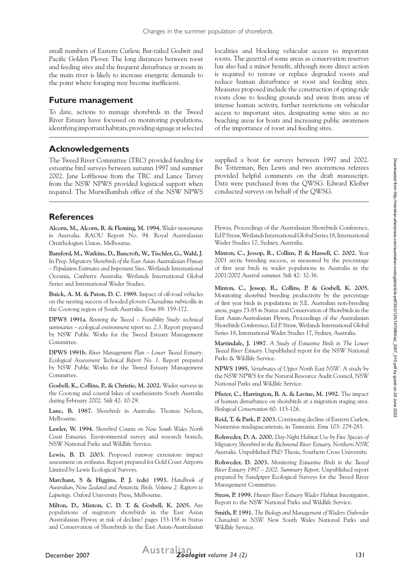small numbers of Eastern Curlew, Bar-tailed Godwit and Pacific Golden Plover. The long distances between roost and feeding sites and the frequent disturbance at roosts in the main river is likely to increase energetic demands to the point where foraging may become inefficient.

#### **Future management**

To date, actions to manage shorebirds in the Tweed River Estuary have focussed on monitoring populations, identifying important habitats, providing signage at selected

# **Acknowledgements**

The Tweed River Committee (TRC) provided funding for estuarine bird surveys between autumn 1997 and summer 2002. Jane Lofthouse from the TRC and Lance Tarvey from the NSW NPWS provided logistical support when required. The Murwillumbah office of the NSW NPWS

**References**

**Alcorn, M., Alcorn, R. & Fleming, M. 1994.** *Wader movements in Australia*. RAOU Report No. 94. Royal Australasian Ornithologists Union. Melbourne.

**Bamford, M., Watkins, D., Bancroft, W., Tischler, G., Wahl, J**. In Prep. *Migratory Shorebirds of the East Asian Australasian Flyway – Population Estimates and Important Sites*. Wetlands International Oceania, Canberra Australia. Wetlands International Global Series and International Wader Studies.

**Buick, A. M. & Paton, D. C. 1989.** Impact of off-road vehicles on the nesting success of hooded plovers *Charadrius rubricollis* in the Coorong region of South Australia. *Emu* 89: 159-172.

**DPWS 1991a**. *Reviving the Tweed – Feasibility Study: technical summaries – ecological environment report no. 2.3*. Report prepared by NSW Public Works for the Tweed Estuary Management Committee.

**DPWS 1991b.** *River Management Plan – Lower Tweed Estuary: Ecological Assessment Technical Report No. 1*. Report prepared by NSW Public Works for the Tweed Estuary Management Committee.

**Gosbell, K., Collins, P., & Christie, M. 2002.** Wader surveys in the Coorong and coastal lakes of southeastern South Australia during February 2002. *Stilt* 42: 10-29.

**Lane, B. 1987.** *Shorebirds in Australia*. Thomas Nelson, Melbourne.

**Lawler, W. 1994.** *Shorebird Counts on New South Wales North Coast Estuaries.* Environmental survey and research branch, NSW National Parks and Wildlife Service.

**Lewis, B. D. 2003.** Proposed runway extension: impact assessment on avifauna. Report prepared for Gold Coast Airports Limited by Lewis Ecological Surveys.

**Marchant, S & Higgins, P. J. (eds) 1993.** *Handbook of Australian, New Zealand and Antarctic Birds. Volume 2: Raptors to Lapwings.* Oxford University Press, Melbourne.

**Milton, D., Minton, C. D. T. & Gosbell, K. 2005.** Are populations of migratory shorebirds in the East Asian Australasian Flyway at risk of decline? pages 153-158 *in* Status and Conservation of Shorebirds in the East Asian-Australasian localities and blocking vehicular access to important roosts. The gazettal of some areas as conservation reserves has also had a minor benefit, although more direct action is required to restore or replace degraded roosts and reduce human disturbance at roost and feeding sites. Measures proposed include the construction of spring-tide roosts close to feeding grounds and away from areas of intense human activity, further restrictions on vehicular access to important sites, designating some sites as no beaching areas for boats and increasing public awareness of the importance of roost and feeding sites.

supplied a boat for surveys between 1997 and 2002. Bo Totterman, Ben Lewis and two anonymous referees provided helpful comments on the draft manuscript. Data were purchased from the QWSG. Edward Kleiber conducted surveys on behalf of the QWSG.

Flyway, Proceedings of the Australasian Shorebirds Conference, Ed P. Straw, Wetlands International Global Series 18, International Wader Studies 17, Sydney, Australia.

**Minton, C., Jessop, R., Collins, P. & Hassell, C. 2002.** Year 2001 arctic breeding success, as measured by the percentage of first year birds in wader populations in Australia in the 2001/2002 Austral summer. *Stilt* 42: 32-36.

**Minton, C., Jessop, R., Collins, P. & Gosbell, K. 2005.** Monitoring shorebird breeding productivity by the percentage of first year birds in populations in S.E. Australian non-breeding areas, pages 73-85 *in* Status and Conservation of Shorebirds in the East Asian-Australasian Flyway, Proceedings of the Australasian Shorebirds Conference, Ed P. Straw, Wetlands International Global Series 18, International Wader Studies 17, Sydney, Australia.

**Martindale, J. 1987**. *A Study of Estuarine Birds in The Lower Tweed River Estuary.* Unpublished report for the NSW National Parks & Wildlife Service.

**NPWS 1995.** *Vertebrates of Upper North East NSW*. A study by the NSW NPWS for the Natural Resource Audit Council, NSW National Parks and Wildlife Service.

**Pfister, C., Harrington, B. A. & Lavine, M. 1992.** The impact of human disturbance on shorebirds at a migration staging area. *Biological Conservation* 60: 115-126.

**Reid, T. & Park, P. 2003.** Continuing decline of Eastern Curlew, Numenius madagascariensis, in Tasmania. *Emu* 103: 279-283.

**Rohweder, D. A. 2000.** *Day-Night Habitat Use by Five Species of Migratory Shorebird in the Richmond River Estuary, Northern NSW, Australia*. Unpublished PhD Thesis, Southern Cross University.

**Rohweder, D. 2003.** *Monitoring Estuarine Birds in the Tweed River Estuary 1997 – 2002: Summary Report*. Unpublished report prepared by Sandpiper Ecological Surveys for the Tweed River Management Committee.

**Straw, P. 1999.** *Hunter River Estuary Wader Habitat Investigation*. Report to the NSW National Parks and Wildlife Service.

**Smith, P. 1991.** *The Biology and Management of Waders (Suborder Charadrii) in NSW.* New South Wales National Parks and Wildlife Service.